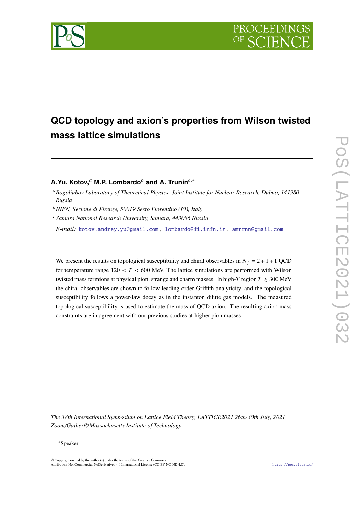

# **QCD topology and axion's properties from Wilson twisted mass lattice simulations**

# **A.Yu. Kotov,**<sup>*a*</sup> **M.P. Lombardo**<sup>*b*</sup> and **A. Trunin**<sup>*c*,∗</sup>

*Bogoliubov Laboratory of Theoretical Physics, Joint Institute for Nuclear Research, Dubna, 141980 Russia*

*INFN, Sezione di Firenze, 50019 Sesto Fiorentino (FI), Italy*

*Samara National Research University, Samara, 443086 Russia*

*E-mail:* [kotov.andrey.yu@gmail.com,](mailto:kotov.andrey.yu@gmail.com) [lombardo@fi.infn.it,](mailto:lombardo@fi.infn.it) [amtrnn@gmail.com](mailto:amtrnn@gmail.com)

We present the results on topological susceptibility and chiral observables in  $N_f = 2 + 1 + 1$  QCD for temperature range  $120 < T < 600$  MeV. The lattice simulations are performed with Wilson twisted mass fermions at physical pion, strange and charm masses. In high-T region  $T \ge 300$  MeV the chiral observables are shown to follow leading order Griffith analyticity, and the topological susceptibility follows a power-law decay as in the instanton dilute gas models. The measured topological susceptibility is used to estimate the mass of QCD axion. The resulting axion mass constraints are in agreement with our previous studies at higher pion masses.

*The 38th International Symposium on Lattice Field Theory, LATTICE2021 26th-30th July, 2021 Zoom/Gather@Massachusetts Institute of Technology*

 $\odot$  Copyright owned by the author(s) under the terms of the Creative Common Attribution-NonCommercial-NoDerivatives 4.0 International License (CC BY-NC-ND 4.0). <https://pos.sissa.it/>

<sup>∗</sup>Speaker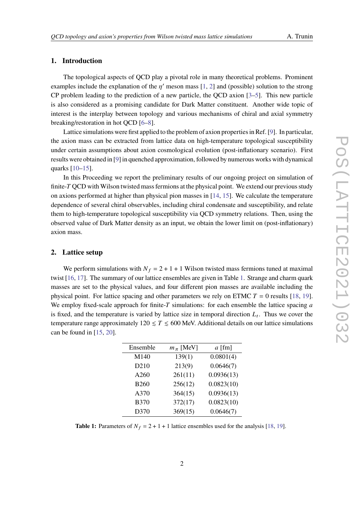# **1. Introduction**

The topological aspects of QCD play a pivotal role in many theoretical problems. Prominent examples include the explanation of the  $n'$  meson mass [\[1,](#page-5-0) [2\]](#page-5-1) and (possible) solution to the strong CP problem leading to the prediction of a new particle, the QCD axion  $[3-5]$  $[3-5]$ . This new particle is also considered as a promising candidate for Dark Matter constituent. Another wide topic of interest is the interplay between topology and various mechanisms of chiral and axial symmetry breaking/restoration in hot QCD [\[6](#page-6-1)[–8\]](#page-6-2).

Lattice simulations were first applied to the problem of axion properties in Ref. [\[9\]](#page-6-3). In particular, the axion mass can be extracted from lattice data on high-temperature topological susceptibility under certain assumptions about axion cosmological evolution (post-inflationary scenario). First results were obtained in [\[9\]](#page-6-3) in quenched approximation, followed by numerous works with dynamical quarks [\[10–](#page-6-4)[15\]](#page-6-5).

In this Proceeding we report the preliminary results of our ongoing project on simulation of finite-T QCD with Wilson twisted mass fermions at the physical point. We extend our previous study on axions performed at higher than physical pion masses in [\[14,](#page-6-6) [15\]](#page-6-5). We calculate the temperature dependence of several chiral observables, including chiral condensate and susceptibility, and relate them to high-temperature topological susceptibility via QCD symmetry relations. Then, using the observed value of Dark Matter density as an input, we obtain the lower limit on (post-inflationary) axion mass.

#### **2. Lattice setup**

We perform simulations with  $N_f = 2 + 1 + 1$  Wilson twisted mass fermions tuned at maximal twist [\[16,](#page-6-7) [17\]](#page-6-8). The summary of our lattice ensembles are given in Table [1.](#page-1-0) Strange and charm quark masses are set to the physical values, and four different pion masses are available including the physical point. For lattice spacing and other parameters we rely on ETMC  $T = 0$  results [\[18,](#page-6-9) [19\]](#page-6-10). We employ fixed-scale approach for finite-T simulations: for each ensemble the lattice spacing  $\alpha$ is fixed, and the temperature is varied by lattice size in temporal direction  $L_t$ . Thus we cover the temperature range approximately  $120 \le T \le 600$  MeV. Additional details on our lattice simulations can be found in  $[15, 20]$  $[15, 20]$  $[15, 20]$ .

<span id="page-1-0"></span>

| Ensemble         | $m_\pi$ [MeV] | $a$ [fm]   |
|------------------|---------------|------------|
| M140             | 139(1)        | 0.0801(4)  |
| D <sub>210</sub> | 213(9)        | 0.0646(7)  |
| A260             | 261(11)       | 0.0936(13) |
| <b>B260</b>      | 256(12)       | 0.0823(10) |
| A370             | 364(15)       | 0.0936(13) |
| <b>B370</b>      | 372(17)       | 0.0823(10) |
| D370             | 369(15)       | 0.0646(7)  |

**Table 1:** Parameters of  $N_f = 2 + 1 + 1$  lattice ensembles used for the analysis [\[18,](#page-6-9) [19\]](#page-6-10).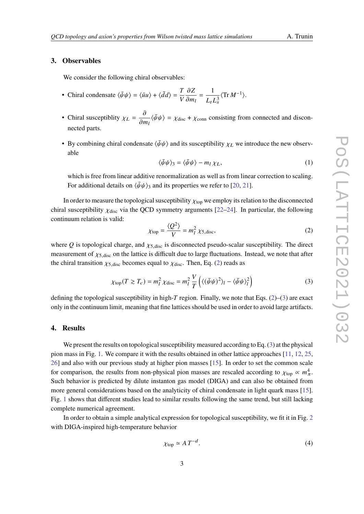# **3. Observables**

We consider the following chiral observables:

- Chiral condensate  $\langle \bar{\psi}\psi \rangle = \langle \bar{u}u \rangle + \langle \bar{d}d \rangle = \frac{T}{r^2}$  $\overline{V}$  $\partial Z$  $\frac{\partial E}{\partial m_l}$  = 1  $\overline{L_t L_s^3}$  $\langle \text{Tr} M^{-1} \rangle$ .
- Chiral susceptiblity  $\chi_L = \frac{\partial}{\partial \zeta}$  $\frac{\partial}{\partial m_l} \langle \bar{\psi}\psi \rangle = \chi_{\text{disc}} + \chi_{\text{conn}}$  consisting from connected and disconnected parts.
- By combining chiral condensate  $\langle \bar{\psi}\psi \rangle$  and its susceptibility  $\chi_L$  we introduce the new observable

<span id="page-2-3"></span>
$$
\langle \bar{\psi}\psi \rangle_3 = \langle \bar{\psi}\psi \rangle - m_l \chi_L,\tag{1}
$$

which is free from linear additive renormalization as well as from linear correction to scaling. For additional details on  $\langle \bar{\psi}\psi \rangle$ <sub>3</sub> and its properties we refer to [\[20,](#page-7-0) [21\]](#page-7-1).

In order to measure the topological susceptibility  $\chi_{\text{top}}$  we employ its relation to the disconnected chiral susceptibility  $\chi_{disc}$  via the QCD symmetry arguments [\[22–](#page-7-2)[24\]](#page-7-3). In particular, the following continuum relation is valid:

<span id="page-2-0"></span>
$$
\chi_{\text{top}} = \frac{\langle Q^2 \rangle}{V} = m_l^2 \chi_{5,\text{disc}},\tag{2}
$$

where Q is topological charge, and  $\chi_{5,\text{disc}}$  is disconnected pseudo-scalar susceptibility. The direct measurement of  $\chi$ <sub>5,disc</sub> on the lattice is difficult due to large fluctuations. Instead, we note that after the chiral transition  $\chi$ <sub>5,disc</sub> becomes equal to  $\chi$ <sub>disc</sub>. Then, Eq. [\(2\)](#page-2-0) reads as

<span id="page-2-1"></span>
$$
\chi_{\text{top}}(T \gtrsim T_c) = m_l^2 \chi_{\text{disc}} = m_l^2 \frac{V}{T} \left( \langle (\bar{\psi}\psi)^2 \rangle_l - \langle \bar{\psi}\psi \rangle_l^2 \right) \tag{3}
$$

defining the topological susceptibility in high-T region. Finally, we note that Eqs.  $(2)$ – $(3)$  are exact only in the continuum limit, meaning that fine lattices should be used in order to avoid large artifacts.

## **4. Results**

We present the results on topological susceptibility measured according to Eq. [\(3\)](#page-2-1) at the physical pion mass in Fig. [1.](#page-3-0) We compare it with the results obtained in other lattice approaches [\[11,](#page-6-11) [12,](#page-6-12) [25,](#page-7-4) [26\]](#page-7-5) and also with our previous study at higher pion masses [\[15\]](#page-6-5). In order to set the common scale for comparison, the results from non-physical pion masses are rescaled according to  $\chi_{\text{top}} \propto m_{\pi}^4$ . Such behavior is predicted by dilute instanton gas model (DIGA) and can also be obtained from more general considerations based on the analyticity of chiral condensate in light quark mass [\[15\]](#page-6-5). Fig. [1](#page-3-0) shows that different studies lead to similar results following the same trend, but still lacking complete numerical agreement.

In order to obtain a simple analytical expression for topological susceptibility, we fit it in Fig. [2](#page-3-1) with DIGA-inspired high-temperature behavior

<span id="page-2-2"></span>
$$
\chi_{\text{top}} \simeq A \, T^{-d}.\tag{4}
$$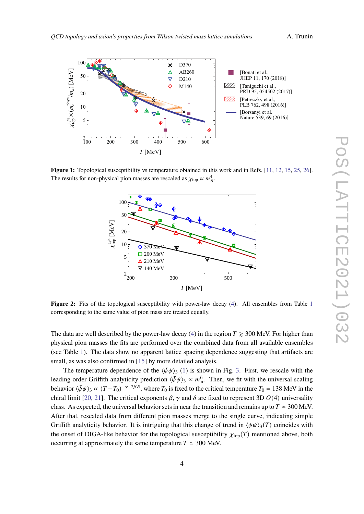<span id="page-3-0"></span>

<span id="page-3-1"></span>Figure 1: Topological susceptibility vs temperature obtained in this work and in Refs. [\[11,](#page-6-11) [12,](#page-6-12) [15,](#page-6-5) [25,](#page-7-4) [26\]](#page-7-5). The results for non-physical pion masses are rescaled as  $\chi_{\text{top}} \propto m_{\pi}^4$ .



Figure 2: Fits of the topological susceptibility with power-law decay [\(4\)](#page-2-2). All ensembles from Table [1](#page-1-0) corresponding to the same value of pion mass are treated equally.

The data are well described by the power-law decay [\(4\)](#page-2-2) in the region  $T \ge 300$  MeV. For higher than physical pion masses the fits are performed over the combined data from all available ensembles (see Table [1\)](#page-1-0). The data show no apparent lattice spacing dependence suggesting that artifacts are small, as was also confirmed in [\[15\]](#page-6-5) by more detailed analysis.

The temperature dependence of the  $\langle \bar{\psi}\psi \rangle$ <sub>3</sub> [\(1\)](#page-2-3) is shown in Fig. [3.](#page-4-0) First, we rescale with the leading order Griffith analyticity prediction  $\langle \bar{\psi}\psi \rangle$ <sub>3</sub>  $\propto m_\pi^6$ . Then, we fit with the universal scaling behavior  $\langle \bar{\psi}\psi \rangle_3 \propto (T - T_0)^{-\gamma - 2\beta \delta}$ , where  $T_0$  is fixed to the critical temperature  $T_0 = 138$  MeV in the chiral limit [\[20,](#page-7-0) [21\]](#page-7-1). The critical exponents  $\beta$ ,  $\gamma$  and  $\delta$  are fixed to represent 3D  $O(4)$  universality class. As expected, the universal behavior sets in near the transition and remains up to  $T \approx 300$  MeV. After that, rescaled data from different pion masses merge to the single curve, indicating simple Griffith analyticity behavior. It is intriguing that this change of trend in  $\langle \bar{\psi}\psi \rangle_{3}(T)$  coincides with the onset of DIGA-like behavior for the topological susceptibility  $\chi_{\text{top}}(T)$  mentioned above, both occurring at approximately the same temperature  $T \approx 300$  MeV.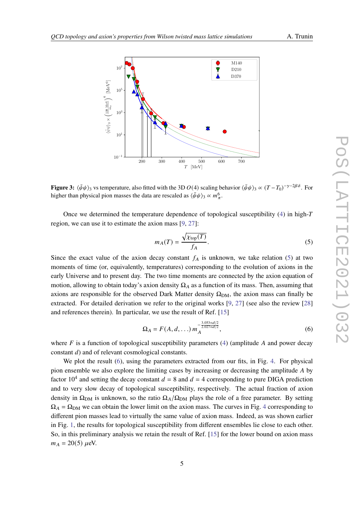<span id="page-4-0"></span>

**Figure 3:**  $\langle \bar{\psi}\psi \rangle$  as temperature, also fitted with the 3D  $O(4)$  scaling behavior  $\langle \bar{\psi}\psi \rangle$   $\propto (T - T_0)^{-\gamma - 2\beta \delta}$ . For higher than physical pion masses the data are rescaled as  $\langle \bar{\psi}\psi \rangle$ <sub>3</sub>  $\propto m_\pi^6$ .

Once we determined the temperature dependence of topological susceptibility [\(4\)](#page-2-2) in high region, we can use it to estimate the axion mass [\[9,](#page-6-3) [27\]](#page-7-6):

<span id="page-4-1"></span>
$$
m_A(T) = \frac{\sqrt{\chi_{\text{top}}(T)}}{f_A}.
$$
\n(5)

Since the exact value of the axion decay constant  $f_A$  is unknown, we take relation [\(5\)](#page-4-1) at two moments of time (or, equivalently, temperatures) corresponding to the evolution of axions in the early Universe and to present day. The two time moments are connected by the axion equation of motion, allowing to obtain today's axion density  $\Omega_A$  as a function of its mass. Then, assuming that axions are responsible for the observed Dark Matter density  $\Omega_{DM}$ , the axion mass can finally be extracted. For detailed derivation we refer to the original works [\[9,](#page-6-3) [27\]](#page-7-6) (see also the review [\[28\]](#page-7-7) and references therein). In particular, we use the result of Ref. [\[15\]](#page-6-5)

<span id="page-4-2"></span>
$$
\Omega_A = F(A, d, \ldots) m_A^{-\frac{3.053 + d/2}{2.027 + d/2}}, \tag{6}
$$

where  $F$  is a function of topological susceptibility parameters [\(4\)](#page-2-2) (amplitude A and power decay constant  $d$ ) and of relevant cosmological constants.

We plot the result [\(6\)](#page-4-2), using the parameters extracted from our fits, in Fig. [4.](#page-5-3) For physical pion ensemble we also explore the limiting cases by increasing or decreasing the amplitude  $A$  by factor 10<sup>4</sup> and setting the decay constant  $d = 8$  and  $d = 4$  corresponding to pure DIGA prediction and to very slow decay of topological susceptibility, respectively. The actual fraction of axion density in  $\Omega_{DM}$  is unknown, so the ratio  $\Omega_A/\Omega_{DM}$  plays the role of a free parameter. By setting  $\Omega_A = \Omega_{DM}$  we can obtain the lower limit on the axion mass. The curves in Fig. [4](#page-5-3) corresponding to different pion masses lead to virtually the same value of axion mass. Indeed, as was shown earlier in Fig. [1,](#page-3-0) the results for topological susceptibility from different ensembles lie close to each other. So, in this preliminary analysis we retain the result of Ref. [\[15\]](#page-6-5) for the lower bound on axion mass  $m_A = 20(5) \mu eV$ .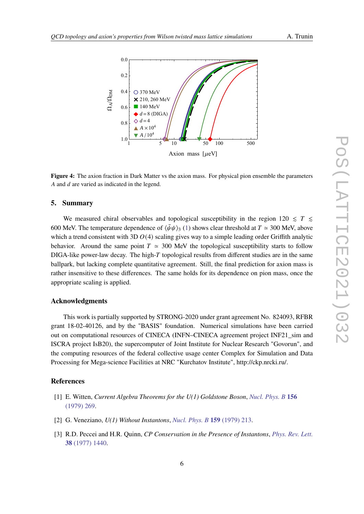<span id="page-5-3"></span>

**Figure 4:** The axion fraction in Dark Matter vs the axion mass. For physical pion ensemble the parameters A and  $d$  are varied as indicated in the legend.

#### **5. Summary**

We measured chiral observables and topological susceptibility in the region  $120 \leq T \leq$ 600 MeV. The temperature dependence of  $\langle \bar{\psi} \psi \rangle$  [\(1\)](#page-2-3) shows clear threshold at  $T \approx 300$  MeV, above which a trend consistent with 3D  $O(4)$  scaling gives way to a simple leading order Griffith analytic behavior. Around the same point  $T \approx 300$  MeV the topological susceptibility starts to follow  $DIGA$ -like power-law decay. The high- $T$  topological results from different studies are in the same ballpark, but lacking complete quantitative agreement. Still, the final prediction for axion mass is rather insensitive to these differences. The same holds for its dependence on pion mass, once the appropriate scaling is applied.

### **Acknowledgments**

This work is partially supported by STRONG-2020 under grant agreement No. 824093, RFBR grant 18-02-40126, and by the "BASIS" foundation. Numerical simulations have been carried out on computational resources of CINECA (INFN–CINECA agreement project INF21\_sim and ISCRA project IsB20), the supercomputer of Joint Institute for Nuclear Research "Govorun", and the computing resources of the federal collective usage center Complex for Simulation and Data Processing for Mega-science Facilities at NRC "Kurchatov Institute", http://ckp.nrcki.ru/.

#### **References**

- <span id="page-5-0"></span>[1] E. Witten, *Current Algebra Theorems for the U(1) Goldstone Boson*, *[Nucl. Phys. B](https://doi.org/10.1016/0550-3213(79)90031-2)* **156** [\(1979\) 269.](https://doi.org/10.1016/0550-3213(79)90031-2)
- <span id="page-5-1"></span>[2] G. Veneziano, *U(1) Without Instantons*, *[Nucl. Phys. B](https://doi.org/10.1016/0550-3213(79)90332-8)* **159** (1979) 213.
- <span id="page-5-2"></span>[3] R.D. Peccei and H.R. Quinn, *CP Conservation in the Presence of Instantons*, *[Phys. Rev. Lett.](https://doi.org/10.1103/PhysRevLett.38.1440)* **38** [\(1977\) 1440.](https://doi.org/10.1103/PhysRevLett.38.1440)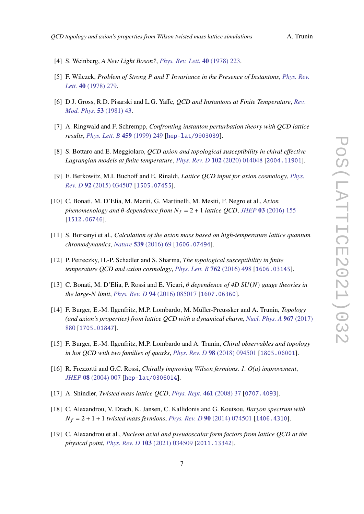- [4] S. Weinberg, *A New Light Boson?*, *[Phys. Rev. Lett.](https://doi.org/10.1103/PhysRevLett.40.223)* **40** (1978) 223.
- <span id="page-6-0"></span>[5] F. Wilczek, *Problem of Strong and Invariance in the Presence of Instantons*, *[Phys. Rev.](https://doi.org/10.1103/PhysRevLett.40.279) Lett.* **40** [\(1978\) 279.](https://doi.org/10.1103/PhysRevLett.40.279)
- <span id="page-6-1"></span>[6] D.J. Gross, R.D. Pisarski and L.G. Yaffe, *QCD and Instantons at Finite Temperature*, *[Rev.](https://doi.org/10.1103/RevModPhys.53.43) [Mod. Phys.](https://doi.org/10.1103/RevModPhys.53.43)* **53** (1981) 43.
- [7] A. Ringwald and F. Schrempp, *Confronting instanton perturbation theory with QCD lattice results*, *[Phys. Lett. B](https://doi.org/10.1016/S0370-2693(99)00682-6)* **459** (1999) 249 [[hep-lat/9903039](https://arxiv.org/abs/hep-lat/9903039)].
- <span id="page-6-2"></span>[8] S. Bottaro and E. Meggiolaro, *QCD axion and topological susceptibility in chiral effective Lagrangian models at finite temperature*, *[Phys. Rev. D](https://doi.org/10.1103/PhysRevD.102.014048)* **102** (2020) 014048 [[2004.11901](https://arxiv.org/abs/2004.11901)].
- <span id="page-6-3"></span>[9] E. Berkowitz, M.I. Buchoff and E. Rinaldi, *Lattice QCD input for axion cosmology*, *[Phys.](https://doi.org/10.1103/PhysRevD.92.034507) Rev. D* **92** [\(2015\) 034507](https://doi.org/10.1103/PhysRevD.92.034507) [[1505.07455](https://arxiv.org/abs/1505.07455)].
- <span id="page-6-4"></span>[10] C. Bonati, M. D'Elia, M. Mariti, G. Martinelli, M. Mesiti, F. Negro et al., *Axion phenomenology and*  $\theta$ *-dependence from*  $N_f = 2 + 1$  *lattice QCD*, *JHEP* 03 [\(2016\) 155](https://doi.org/10.1007/JHEP03(2016)155) [[1512.06746](https://arxiv.org/abs/1512.06746)].
- <span id="page-6-11"></span>[11] S. Borsanyi et al., *Calculation of the axion mass based on high-temperature lattice quantum chromodynamics*, *Nature* **539** [\(2016\) 69](https://doi.org/10.1038/nature20115) [[1606.07494](https://arxiv.org/abs/1606.07494)].
- <span id="page-6-12"></span>[12] P. Petreczky, H.-P. Schadler and S. Sharma, *The topological susceptibility in finite temperature QCD and axion cosmology*, *[Phys. Lett. B](https://doi.org/10.1016/j.physletb.2016.09.063)* **762** (2016) 498 [[1606.03145](https://arxiv.org/abs/1606.03145)].
- [13] C. Bonati, M. D'Elia, P. Rossi and E. Vicari, *dependence of 4D* () *gauge theories in the large- limit*, *[Phys. Rev. D](https://doi.org/10.1103/PhysRevD.94.085017)* **94** (2016) 085017 [[1607.06360](https://arxiv.org/abs/1607.06360)].
- <span id="page-6-6"></span>[14] F. Burger, E.-M. Ilgenfritz, M.P. Lombardo, M. Müller-Preussker and A. Trunin, *Topology (and axion's properties) from lattice QCD with a dynamical charm*, *[Nucl. Phys. A](https://doi.org/10.1016/j.nuclphysa.2017.07.006)* **967** (2017) [880](https://doi.org/10.1016/j.nuclphysa.2017.07.006) [[1705.01847](https://arxiv.org/abs/1705.01847)].
- <span id="page-6-5"></span>[15] F. Burger, E.-M. Ilgenfritz, M.P. Lombardo and A. Trunin, *Chiral observables and topology in hot QCD with two families of quarks*, *[Phys. Rev. D](https://doi.org/10.1103/PhysRevD.98.094501)* **98** (2018) 094501 [[1805.06001](https://arxiv.org/abs/1805.06001)].
- <span id="page-6-7"></span>[16] R. Frezzotti and G.C. Rossi, *Chirally improving Wilson fermions. 1. O(a) improvement*, *JHEP* **08** [\(2004\) 007](https://doi.org/10.1088/1126-6708/2004/08/007) [[hep-lat/0306014](https://arxiv.org/abs/hep-lat/0306014)].
- <span id="page-6-8"></span>[17] A. Shindler, *Twisted mass lattice QCD*, *[Phys. Rept.](https://doi.org/10.1016/j.physrep.2008.03.001)* **461** (2008) 37 [[0707.4093](https://arxiv.org/abs/0707.4093)].
- <span id="page-6-9"></span>[18] C. Alexandrou, V. Drach, K. Jansen, C. Kallidonis and G. Koutsou, *Baryon spectrum with* = 2 + 1 + 1 *twisted mass fermions*, *[Phys. Rev. D](https://doi.org/10.1103/PhysRevD.90.074501)* **90** (2014) 074501 [[1406.4310](https://arxiv.org/abs/1406.4310)].
- <span id="page-6-10"></span>[19] C. Alexandrou et al., *Nucleon axial and pseudoscalar form factors from lattice QCD at the physical point*, *[Phys. Rev. D](https://doi.org/10.1103/PhysRevD.103.034509)* **103** (2021) 034509 [[2011.13342](https://arxiv.org/abs/2011.13342)].